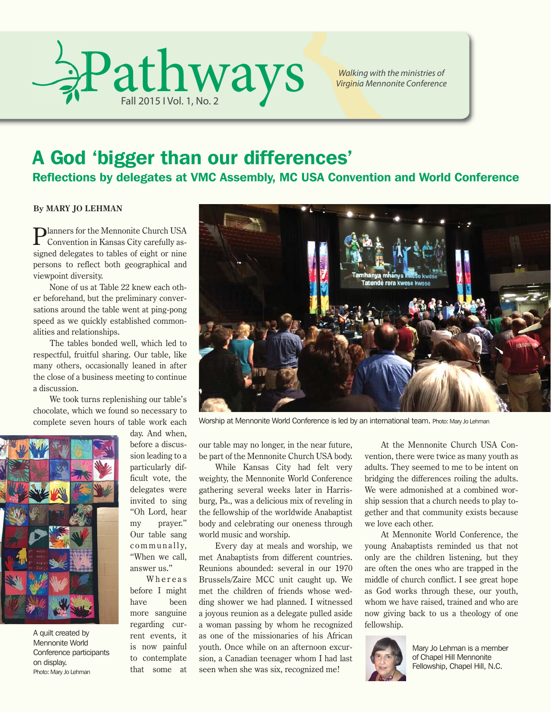

*Walking with the ministries of Virginia Mennonite Conference*

### A God 'bigger than our differences'

Reflections by delegates at VMC Assembly, MC USA Convention and World Conference

**By MARY JO LEHMAN**

Planners for the Mennonite Church USA Convention in Kansas City carefully assigned delegates to tables of eight or nine persons to reflect both geographical and viewpoint diversity.

None of us at Table 22 knew each other beforehand, but the preliminary conversations around the table went at ping-pong speed as we quickly established commonalities and relationships.

The tables bonded well, which led to respectful, fruitful sharing. Our table, like many others, occasionally leaned in after the close of a business meeting to continue a discussion.

We took turns replenishing our table's chocolate, which we found so necessary to complete seven hours of table work each



A quilt created by Mennonite World Conference participants on display. Photo: Mary Jo Lehman

day. And when, before a discussion leading to a particularly difficult vote, the delegates were invited to sing "Oh Lord, hear my prayer." Our table sang communally, "When we call, answer us."

Whereas before I might have been more sanguine regarding current events, it is now painful to contemplate that some at



Worship at Mennonite World Conference is led by an international team. Photo: Mary Jo Lehman

our table may no longer, in the near future, be part of the Mennonite Church USA body.

While Kansas City had felt very weighty, the Mennonite World Conference gathering several weeks later in Harrisburg, Pa., was a delicious mix of reveling in the fellowship of the worldwide Anabaptist body and celebrating our oneness through world music and worship.

Every day at meals and worship, we met Anabaptists from different countries. Reunions abounded: several in our 1970 Brussels/Zaire MCC unit caught up. We met the children of friends whose wedding shower we had planned. I witnessed a joyous reunion as a delegate pulled aside a woman passing by whom he recognized as one of the missionaries of his African youth. Once while on an afternoon excursion, a Canadian teenager whom I had last seen when she was six, recognized me!

At the Mennonite Church USA Convention, there were twice as many youth as adults. They seemed to me to be intent on bridging the differences roiling the adults. We were admonished at a combined worship session that a church needs to play together and that community exists because we love each other.

At Mennonite World Conference, the young Anabaptists reminded us that not only are the children listening, but they are often the ones who are trapped in the middle of church conflict. I see great hope as God works through these, our youth, whom we have raised, trained and who are now giving back to us a theology of one fellowship.



Mary Jo Lehman is a member of Chapel Hill Mennonite Fellowship, Chapel Hill, N.C.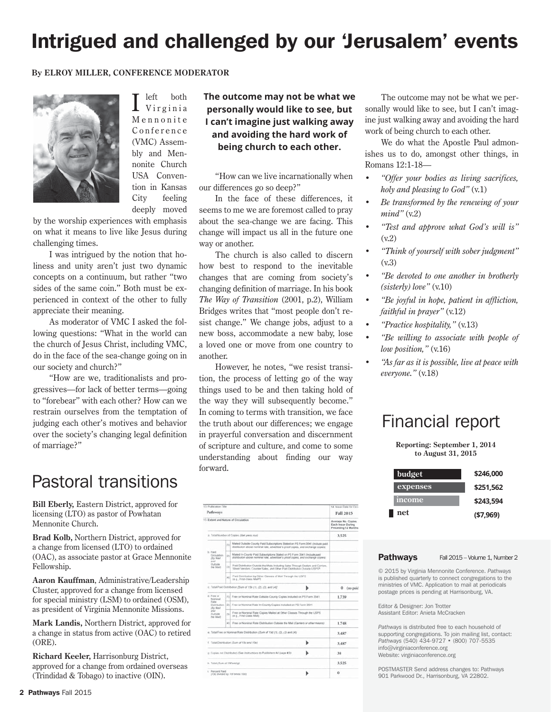# Intrigued and challenged by our 'Jerusalem' events

#### **By ELROY MILLER, CONFERENCE MODERATOR**



 $\prod$  left both<br>Virginia M e n n o n i t e C on ference (VMC) Assembly and Mennonite Church USA Convention in Kansas City feeling deeply moved

by the worship experiences with emphasis on what it means to live like Jesus during challenging times.

I was intrigued by the notion that holiness and unity aren't just two dynamic concepts on a continuum, but rather "two sides of the same coin." Both must be experienced in context of the other to fully appreciate their meaning.

As moderator of VMC I asked the following questions: "What in the world can the church of Jesus Christ, including VMC, do in the face of the sea-change going on in our society and church?"

"How are we, traditionalists and progressives—for lack of better terms—going to "forebear" with each other? How can we restrain ourselves from the temptation of judging each other's motives and behavior over the society's changing legal definition of marriage?"

### Pastoral transitions

**Bill Eberly,** Eastern District, approved for licensing (LTO) as pastor of Powhatan Mennonite Church.

**Brad Kolb,** Northern District, approved for a change from licensed (LTO) to ordained (OAC), as associate pastor at Grace Mennonite Fellowship.

**Aaron Kauffman**, Administrative/Leadership Cluster, approved for a change from licensed for special ministry (LSM) to ordained (OSM), as president of Virginia Mennonite Missions.

**Mark Landis,** Northern District, approved for a change in status from active (OAC) to retired (ORE).

**Richard Keeler,** Harrisonburg District, approved for a change from ordained overseas (Trindidad & Tobago) to inactive (OIN).

**The outcome may not be what we personally would like to see, but I can't imagine just walking away and avoiding the hard work of being church to each other.**

"How can we live incarnationally when our differences go so deep?"

In the face of these differences, it seems to me we are foremost called to pray about the sea-change we are facing. This change will impact us all in the future one way or another.

The church is also called to discern how best to respond to the inevitable changes that are coming from society's changing definition of marriage. In his book *The Way of Transition* (2001, p.2), William Bridges writes that "most people don't resist change." We change jobs, adjust to a new boss, accommodate a new baby, lose a loved one or move from one country to another.

However, he notes, "we resist transition, the process of letting go of the way things used to be and then taking hold of the way they will subsequently become." In coming to terms with transition, we face the truth about our differences; we engage in prayerful conversation and discernment of scripture and culture, and come to some understanding about finding our way forward.

| 13. Publication Title                                                           |       |                                                                                                                                                                   |       | 14. Issue Date for Citry                                       |
|---------------------------------------------------------------------------------|-------|-------------------------------------------------------------------------------------------------------------------------------------------------------------------|-------|----------------------------------------------------------------|
| Pathways                                                                        |       |                                                                                                                                                                   |       | Fall 2015                                                      |
| 15. Extent and Nature of Circulation                                            |       |                                                                                                                                                                   |       | Average No. Copies<br>Each Issue During<br>Proceding 12 Months |
| a. Total Number of Copies (Net press run)                                       | 3,525 |                                                                                                                                                                   |       |                                                                |
| b. Paid<br>Circulation<br>(By Mail<br>aict.<br>Outside<br>the Mail              | (11)  | Mailed Outside-County Paid Subscriptions Stated on PS Form 3541 (Include paid<br>distribution above nominal rate, advertiser's proof copies, and exchange copies) |       |                                                                |
|                                                                                 | (2)   | Maled in County Paid Subscriptions Stated on PS Form 3541 (Include paid<br>distribution above nominal rate, advertiser's proof copies, and exchange copies).      |       |                                                                |
|                                                                                 | ail   | Paid Distribution Outside the Mails Including Sales Through Dealers and Carriers.<br>Steel Vendors, Counter Sales, and Other Paid Distribution Dutcate USPS*      |       |                                                                |
|                                                                                 | (41)  | Paid Distribution by Other Classes of Mail Through the USPS<br>In a. First-Class Mail'?                                                                           |       |                                                                |
| c. Total Paid Distribution (Sum of 15b (1), (2), (3), and (4))                  |       |                                                                                                                                                                   |       | 0<br>(no paid                                                  |
| d. Free or<br>Nominal.<br><b>TEMA</b><br>(By Mail<br>and<br>Ourside<br>the Mail |       | (1) Free or Nominal Rate Outside-County Copies Included on PS Form 3541                                                                                           |       | 1.739                                                          |
|                                                                                 |       | Distribution ((2) Free or Normhal Rate In-County Copies Included on PS Form 3541                                                                                  |       |                                                                |
|                                                                                 | cm    | Free or Nominal Rate Copies Mailed at Other Classes Through the USPS<br>on a First-Class Mail:                                                                    |       |                                                                |
|                                                                                 |       | (4) Free or Nominal Rate Distribution Outside the Mail (Carriers or other means)                                                                                  |       | 1.748                                                          |
| e. Total Free or Nominal Rate Distribution (Sum of 15d (1), (2), (3) and (4))   |       |                                                                                                                                                                   |       | 3.487                                                          |
| 1. Total Distribution (Sain of 15c and 15e)                                     |       |                                                                                                                                                                   | 3.487 |                                                                |
| c. Copies not Distributed /See Instructions to Publishers #4 (page #3))         |       |                                                                                                                                                                   |       | 38                                                             |
| h. Total (Sum of 15f and gl.                                                    |       |                                                                                                                                                                   |       | 3.525                                                          |
| i. Percent Paid<br>/15c divided by 15f times 1001                               |       |                                                                                                                                                                   | ū     |                                                                |

The outcome may not be what we personally would like to see, but I can't imagine just walking away and avoiding the hard work of being church to each other.

We do what the Apostle Paul admonishes us to do, amongst other things, in Romans 12:1-18—

- *"Offer your bodies as living sacrifices, holy and pleasing to God"* (v.1)
- *Be transformed by the renewing of your mind"* (v.2)
- *"Test and approve what God's will is"*  (v.2)
- *"Think of yourself with sober judgment"*  (v.3)
- *"Be devoted to one another in brotherly (sisterly) love"* (v.10)
- *"Be joyful in hope, patient in affliction, faithful in prayer"* (v.12)
- *"Practice hospitality,"* (v.13)
- *"Be willing to associate with people of low position,"* (v.16)
- *"As far as it is possible, live at peace with everyone."* (v.18)

### Financial report

**Reporting: September 1, 2014 to August 31, 2015**

| budget        | \$246,000  |
|---------------|------------|
| expenses      | \$251,562  |
| <i>income</i> | \$243,594  |
| net           | ( \$7,969) |

#### Pathways Fall 2015 – Volume 1, Number 2

© 2015 by Virginia Mennonite Conference. *Pathways* is published quarterly to connect congregations to the ministries of VMC. Application to mail at periodicals postage prices is pending at Harrisonburg, VA.

Editor & Designer: Jon Trotter Assistant Editor: Anieta McCracken

*Pathways* is distributed free to each household of supporting congregations. To join mailing list, contact: *Pathways* (540) 434-9727 • (800) 707-5535 info@virginiaconference.org Website: virginiaconference.org

POSTMASTER Send address changes to: Pathways 901 Parkwood Dr., Harrisonburg, VA 22802.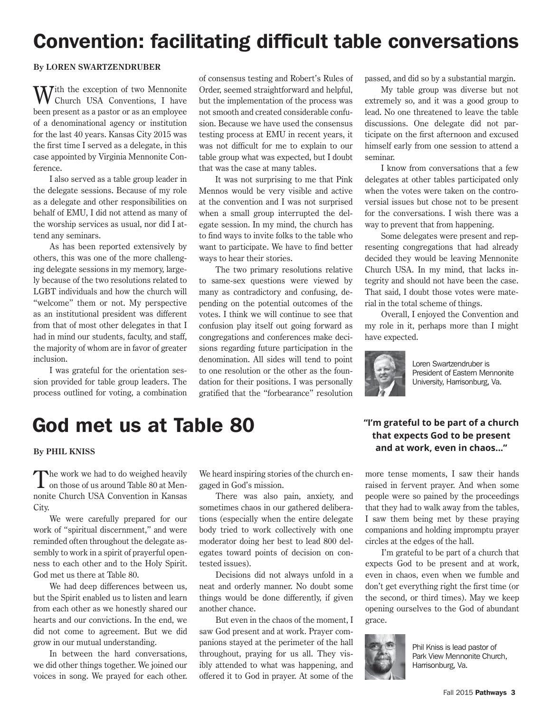# Convention: facilitating difficult table conversations

#### **By LOREN SWARTZENDRUBER**

 $\mathbf{W}$ ith the exception of two Mennonite Church USA Conventions, I have been present as a pastor or as an employee of a denominational agency or institution for the last 40 years. Kansas City 2015 was the first time I served as a delegate, in this case appointed by Virginia Mennonite Conference.

I also served as a table group leader in the delegate sessions. Because of my role as a delegate and other responsibilities on behalf of EMU, I did not attend as many of the worship services as usual, nor did I attend any seminars.

As has been reported extensively by others, this was one of the more challenging delegate sessions in my memory, largely because of the two resolutions related to LGBT individuals and how the church will "welcome" them or not. My perspective as an institutional president was different from that of most other delegates in that I had in mind our students, faculty, and staff, the majority of whom are in favor of greater inclusion.

I was grateful for the orientation session provided for table group leaders. The process outlined for voting, a combination of consensus testing and Robert's Rules of Order, seemed straightforward and helpful, but the implementation of the process was not smooth and created considerable confusion. Because we have used the consensus testing process at EMU in recent years, it was not difficult for me to explain to our table group what was expected, but I doubt that was the case at many tables.

It was not surprising to me that Pink Mennos would be very visible and active at the convention and I was not surprised when a small group interrupted the delegate session. In my mind, the church has to find ways to invite folks to the table who want to participate. We have to find better ways to hear their stories.

The two primary resolutions relative to same-sex questions were viewed by many as contradictory and confusing, depending on the potential outcomes of the votes. I think we will continue to see that confusion play itself out going forward as congregations and conferences make decisions regarding future participation in the denomination. All sides will tend to point to one resolution or the other as the foundation for their positions. I was personally gratified that the "forbearance" resolution passed, and did so by a substantial margin.

My table group was diverse but not extremely so, and it was a good group to lead. No one threatened to leave the table discussions. One delegate did not participate on the first afternoon and excused himself early from one session to attend a seminar.

I know from conversations that a few delegates at other tables participated only when the votes were taken on the controversial issues but chose not to be present for the conversations. I wish there was a way to prevent that from happening.

Some delegates were present and representing congregations that had already decided they would be leaving Mennonite Church USA. In my mind, that lacks integrity and should not have been the case. That said, I doubt those votes were material in the total scheme of things.

Overall, I enjoyed the Convention and my role in it, perhaps more than I might have expected.



Loren Swartzendruber is President of Eastern Mennonite University, Harrisonburg, Va.

# God met us at Table 80

#### **By PHIL KNISS**

The work we had to do weighed heavily<br>
on those of us around Table 80 at Mennonite Church USA Convention in Kansas City.

We were carefully prepared for our work of "spiritual discernment," and were reminded often throughout the delegate assembly to work in a spirit of prayerful openness to each other and to the Holy Spirit. God met us there at Table 80.

We had deep differences between us, but the Spirit enabled us to listen and learn from each other as we honestly shared our hearts and our convictions. In the end, we did not come to agreement. But we did grow in our mutual understanding.

In between the hard conversations, we did other things together. We joined our voices in song. We prayed for each other.

We heard inspiring stories of the church engaged in God's mission.

There was also pain, anxiety, and sometimes chaos in our gathered deliberations (especially when the entire delegate body tried to work collectively with one moderator doing her best to lead 800 delegates toward points of decision on contested issues).

Decisions did not always unfold in a neat and orderly manner. No doubt some things would be done differently, if given another chance.

But even in the chaos of the moment, I saw God present and at work. Prayer companions stayed at the perimeter of the hall throughout, praying for us all. They visibly attended to what was happening, and offered it to God in prayer. At some of the

### **"I'm grateful to be part of a church that expects God to be present and at work, even in chaos..."**

more tense moments, I saw their hands raised in fervent prayer. And when some people were so pained by the proceedings that they had to walk away from the tables, I saw them being met by these praying companions and holding impromptu prayer circles at the edges of the hall.

I'm grateful to be part of a church that expects God to be present and at work, even in chaos, even when we fumble and don't get everything right the first time (or the second, or third times). May we keep opening ourselves to the God of abundant grace.



Phil Kniss is lead pastor of Park View Mennonite Church, Harrisonburg, Va.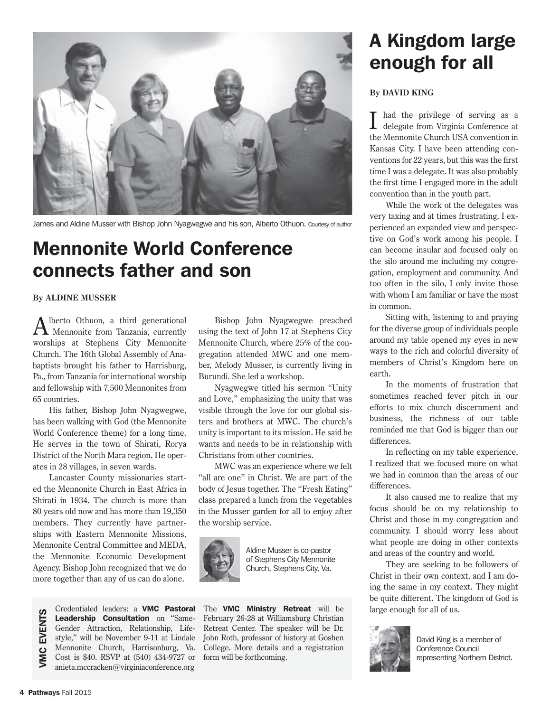

James and Aldine Musser with Bishop John Nyagwegwe and his son, Alberto Othuon. Courtesy of author

# Mennonite World Conference connects father and son

#### **By ALDINE MUSSER**

Alberto Othuon, a third generational Mennonite from Tanzania, currently worships at Stephens City Mennonite Church. The 16th Global Assembly of Anabaptists brought his father to Harrisburg, Pa., from Tanzania for international worship and fellowship with 7,500 Mennonites from 65 countries.

His father, Bishop John Nyagwegwe, has been walking with God (the Mennonite World Conference theme) for a long time. He serves in the town of Shirati, Rorya District of the North Mara region. He operates in 28 villages, in seven wards.

Lancaster County missionaries started the Mennonite Church in East Africa in Shirati in 1934. The church is more than 80 years old now and has more than 19,350 members. They currently have partnerships with Eastern Mennonite Missions, Mennonite Central Committee and MEDA, the Mennonite Economic Development Agency. Bishop John recognized that we do more together than any of us can do alone.

Credentialed leaders: a VMC Pastoral **EVENTS** VMC EVENTSLeadership Consultation on "Same-Gender Attraction, Relationship, Lifestyle," will be November 9-11 at Lindale Mennonite Church, Harrisonburg, Va. VMC Cost is \$40. RSVP at (540) 434-9727 or anieta.mccracken@virginiaconference.org

Bishop John Nyagwegwe preached using the text of John 17 at Stephens City Mennonite Church, where 25% of the congregation attended MWC and one member, Melody Musser, is currently living in Burundi. She led a workshop.

Nyagwegwe titled his sermon "Unity and Love," emphasizing the unity that was visible through the love for our global sisters and brothers at MWC. The church's unity is important to its mission. He said he wants and needs to be in relationship with Christians from other countries.

MWC was an experience where we felt "all are one" in Christ. We are part of the body of Jesus together. The "Fresh Eating" class prepared a lunch from the vegetables in the Musser garden for all to enjoy after the worship service.



Aldine Musser is co-pastor of Stephens City Mennonite Church, Stephens City, Va.

The **VMC Ministry Retreat** will be February 26-28 at Williamsburg Christian Retreat Center. The speaker will be Dr. John Roth, professor of history at Goshen College. More details and a registration form will be forthcoming.

# A Kingdom large enough for all

#### **By DAVID KING**

had the privilege of serving as a delegate from Virginia Conference at the Mennonite Church USA convention in Kansas City. I have been attending conventions for 22 years, but this was the first time I was a delegate. It was also probably the first time I engaged more in the adult convention than in the youth part.

While the work of the delegates was very taxing and at times frustrating, I experienced an expanded view and perspective on God's work among his people. I can become insular and focused only on the silo around me including my congregation, employment and community. And too often in the silo, I only invite those with whom I am familiar or have the most in common.

Sitting with, listening to and praying for the diverse group of individuals people around my table opened my eyes in new ways to the rich and colorful diversity of members of Christ's Kingdom here on earth.

In the moments of frustration that sometimes reached fever pitch in our efforts to mix church discernment and business, the richness of our table reminded me that God is bigger than our differences.

In reflecting on my table experience, I realized that we focused more on what we had in common than the areas of our differences.

It also caused me to realize that my focus should be on my relationship to Christ and those in my congregation and community. I should worry less about what people are doing in other contexts and areas of the country and world.

They are seeking to be followers of Christ in their own context, and I am doing the same in my context. They might be quite different. The kingdom of God is large enough for all of us.



David King is a member of Conference Council representing Northern District.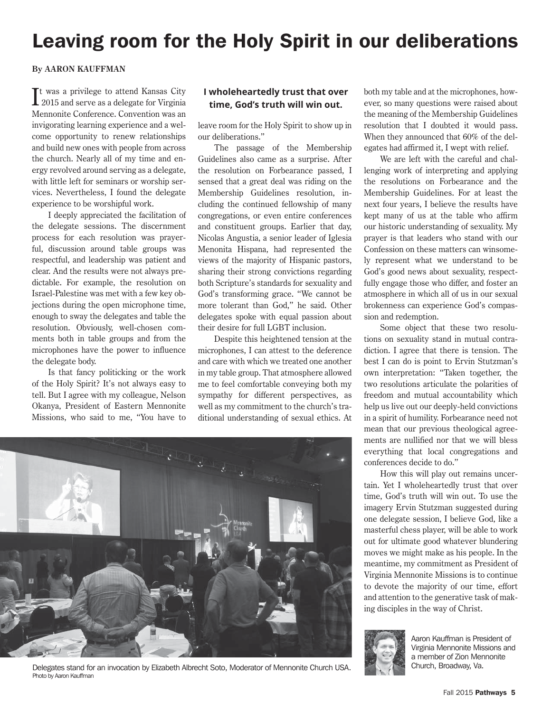# Leaving room for the Holy Spirit in our deliberations

#### **By AARON KAUFFMAN**

It was a privilege to attend Kansas City<br>2015 and serve as a delegate for Virginia **1** 2015 and serve as a delegate for Virginia Mennonite Conference. Convention was an invigorating learning experience and a welcome opportunity to renew relationships and build new ones with people from across the church. Nearly all of my time and energy revolved around serving as a delegate, with little left for seminars or worship services. Nevertheless, I found the delegate experience to be worshipful work.

I deeply appreciated the facilitation of the delegate sessions. The discernment process for each resolution was prayerful, discussion around table groups was respectful, and leadership was patient and clear. And the results were not always predictable. For example, the resolution on Israel-Palestine was met with a few key objections during the open microphone time, enough to sway the delegates and table the resolution. Obviously, well-chosen comments both in table groups and from the microphones have the power to influence the delegate body.

Is that fancy politicking or the work of the Holy Spirit? It's not always easy to tell. But I agree with my colleague, Nelson Okanya, President of Eastern Mennonite Missions, who said to me, "You have to

#### **I wholeheartedly trust that over time, God's truth will win out.**

leave room for the Holy Spirit to show up in our deliberations."

The passage of the Membership Guidelines also came as a surprise. After the resolution on Forbearance passed, I sensed that a great deal was riding on the Membership Guidelines resolution, including the continued fellowship of many congregations, or even entire conferences and constituent groups. Earlier that day, Nicolas Angustia, a senior leader of Iglesia Menonita Hispana, had represented the views of the majority of Hispanic pastors, sharing their strong convictions regarding both Scripture's standards for sexuality and God's transforming grace. "We cannot be more tolerant than God," he said. Other delegates spoke with equal passion about their desire for full LGBT inclusion.

Despite this heightened tension at the microphones, I can attest to the deference and care with which we treated one another in my table group. That atmosphere allowed me to feel comfortable conveying both my sympathy for different perspectives, as well as my commitment to the church's traditional understanding of sexual ethics. At



Delegates stand for an invocation by Elizabeth Albrecht Soto, Moderator of Mennonite Church USA. Church, Broadway, Va. Photo by Aaron Kauffman

both my table and at the microphones, however, so many questions were raised about the meaning of the Membership Guidelines resolution that I doubted it would pass. When they announced that 60% of the delegates had affirmed it, I wept with relief.

We are left with the careful and challenging work of interpreting and applying the resolutions on Forbearance and the Membership Guidelines. For at least the next four years, I believe the results have kept many of us at the table who affirm our historic understanding of sexuality. My prayer is that leaders who stand with our Confession on these matters can winsomely represent what we understand to be God's good news about sexuality, respectfully engage those who differ, and foster an atmosphere in which all of us in our sexual brokenness can experience God's compassion and redemption.

Some object that these two resolutions on sexuality stand in mutual contradiction. I agree that there is tension. The best I can do is point to Ervin Stutzman's own interpretation: "Taken together, the two resolutions articulate the polarities of freedom and mutual accountability which help us live out our deeply-held convictions in a spirit of humility. Forbearance need not mean that our previous theological agreements are nullified nor that we will bless everything that local congregations and conferences decide to do."

How this will play out remains uncertain. Yet I wholeheartedly trust that over time, God's truth will win out. To use the imagery Ervin Stutzman suggested during one delegate session, I believe God, like a masterful chess player, will be able to work out for ultimate good whatever blundering moves we might make as his people. In the meantime, my commitment as President of Virginia Mennonite Missions is to continue to devote the majority of our time, effort and attention to the generative task of making disciples in the way of Christ.



Aaron Kauffman is President of Virginia Mennonite Missions and a member of Zion Mennonite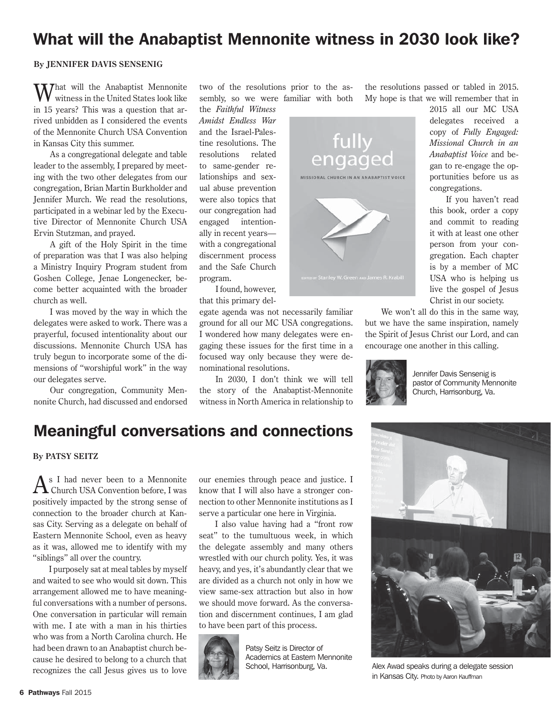### What will the Anabaptist Mennonite witness in 2030 look like?

#### **By JENNIFER DAVIS SENSENIG**

What will the Anabaptist Mennonite<br>W witness in the United States look like in 15 years? This was a question that arrived unbidden as I considered the events of the Mennonite Church USA Convention in Kansas City this summer.

As a congregational delegate and table leader to the assembly, I prepared by meeting with the two other delegates from our congregation, Brian Martin Burkholder and Jennifer Murch. We read the resolutions, participated in a webinar led by the Executive Director of Mennonite Church USA Ervin Stutzman, and prayed.

A gift of the Holy Spirit in the time of preparation was that I was also helping a Ministry Inquiry Program student from Goshen College, Jenae Longenecker, become better acquainted with the broader church as well.

I was moved by the way in which the delegates were asked to work. There was a prayerful, focused intentionality about our discussions. Mennonite Church USA has truly begun to incorporate some of the dimensions of "worshipful work" in the way our delegates serve.

Our congregation, Community Mennonite Church, had discussed and endorsed two of the resolutions prior to the assembly, so we were familiar with both

the *Faithful Witness Amidst Endless War* and the Israel-Palestine resolutions. The resolutions related to same-gender relationships and sexual abuse prevention were also topics that our congregation had engaged intentionally in recent years with a congregational discernment process and the Safe Church program.

I found, however, that this primary del-

egate agenda was not necessarily familiar ground for all our MC USA congregations. I wondered how many delegates were engaging these issues for the first time in a focused way only because they were denominational resolutions.

In 2030, I don't think we will tell the story of the Anabaptist-Mennonite witness in North America in relationship to

fully engaged MISSIONAL CHURCH IN AN ANABAPTIST VOICE

the resolutions passed or tabled in 2015. My hope is that we will remember that in

delegates received a copy of *Fully Engaged: Missional Church in an Anabaptist Voice* and began to re-engage the opportunities before us as congregations. If you haven't read

2015 all our MC USA

this book, order a copy and commit to reading it with at least one other person from your congregation. Each chapter is by a member of MC USA who is helping us live the gospel of Jesus Christ in our society.

We won't all do this in the same way, but we have the same inspiration, namely the Spirit of Jesus Christ our Lord, and can encourage one another in this calling.



Jennifer Davis Sensenig is pastor of Community Mennonite Church, Harrisonburg, Va.

### Meaningful conversations and connections

**By PATSY SEITZ**

 $A$ s I had never been to a Mennonite<br>Church USA Convention before, I was positively impacted by the strong sense of connection to the broader church at Kansas City. Serving as a delegate on behalf of Eastern Mennonite School, even as heavy as it was, allowed me to identify with my "siblings" all over the country.

I purposely sat at meal tables by myself and waited to see who would sit down. This arrangement allowed me to have meaningful conversations with a number of persons. One conversation in particular will remain with me. I ate with a man in his thirties who was from a North Carolina church. He had been drawn to an Anabaptist church because he desired to belong to a church that recognizes the call Jesus gives us to love

our enemies through peace and justice. I know that I will also have a stronger connection to other Mennonite institutions as I serve a particular one here in Virginia.

I also value having had a "front row seat" to the tumultuous week, in which the delegate assembly and many others wrestled with our church polity. Yes, it was heavy, and yes, it's abundantly clear that we are divided as a church not only in how we view same-sex attraction but also in how we should move forward. As the conversation and discernment continues, I am glad to have been part of this process.



Patsy Seitz is Director of Academics at Eastern Mennonite<br>School, Harrisonburg, Va.



Alex Awad speaks during a delegate session in Kansas City. Photo by Aaron Kauffman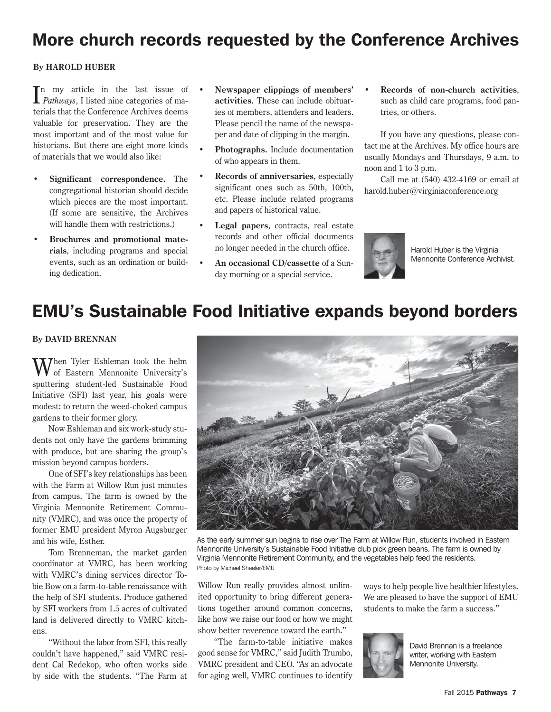### More church records requested by the Conference Archives

#### **By HAROLD HUBER**

 $\prod_{\text{Pathways}}$ , I listed nine categories of ma-*Pathways*, I listed nine categories of materials that the Conference Archives deems valuable for preservation. They are the most important and of the most value for historians. But there are eight more kinds of materials that we would also like:

- **Significant correspondence.** The congregational historian should decide which pieces are the most important. (If some are sensitive, the Archives will handle them with restrictions.)
- **Brochures and promotional materials**, including programs and special events, such as an ordination or building dedication.
- **Newspaper clippings of members' activities.** These can include obituaries of members, attenders and leaders. Please pencil the name of the newspaper and date of clipping in the margin.
- **Photographs.** Include documentation of who appears in them.
- **Records of anniversaries**, especially significant ones such as 50th, 100th, etc. Please include related programs and papers of historical value.
- **Legal papers**, contracts, real estate records and other official documents no longer needed in the church office.
- **An occasional CD/cassette** of a Sunday morning or a special service.

**• Records of non-church activities**, such as child care programs, food pantries, or others.

If you have any questions, please contact me at the Archives. My office hours are usually Mondays and Thursdays, 9 a.m. to noon and 1 to 3 p.m.

Call me at (540) 432-4169 or email at harold.huber@virginiaconference.org



Harold Huber is the Virginia Mennonite Conference Archivist.

### EMU's Sustainable Food Initiative expands beyond borders

#### **By DAVID BRENNAN**

Then Tyler Eshleman took the helm of Eastern Mennonite University's sputtering student-led Sustainable Food Initiative (SFI) last year, his goals were modest: to return the weed-choked campus gardens to their former glory.

Now Eshleman and six work-study students not only have the gardens brimming with produce, but are sharing the group's mission beyond campus borders.

One of SFI's key relationships has been with the Farm at Willow Run just minutes from campus. The farm is owned by the Virginia Mennonite Retirement Community (VMRC), and was once the property of former EMU president Myron Augsburger and his wife, Esther.

Tom Brenneman, the market garden coordinator at VMRC, has been working with VMRC's dining services director Tobie Bow on a farm-to-table renaissance with the help of SFI students. Produce gathered by SFI workers from 1.5 acres of cultivated land is delivered directly to VMRC kitchens.

"Without the labor from SFI, this really couldn't have happened," said VMRC resident Cal Redekop, who often works side by side with the students. "The Farm at



As the early summer sun begins to rise over The Farm at Willow Run, students involved in Eastern Mennonite University's Sustainable Food Initiative club pick green beans. The farm is owned by Virginia Mennonite Retirement Community, and the vegetables help feed the residents. Photo by Michael Sheeler/EMU

Willow Run really provides almost unlimited opportunity to bring different generations together around common concerns, like how we raise our food or how we might show better reverence toward the earth."

"The farm-to-table initiative makes good sense for VMRC," said Judith Trumbo, VMRC president and CEO. "As an advocate for aging well, VMRC continues to identify ways to help people live healthier lifestyles. We are pleased to have the support of EMU students to make the farm a success."



David Brennan is a freelance writer, working with Eastern Mennonite University.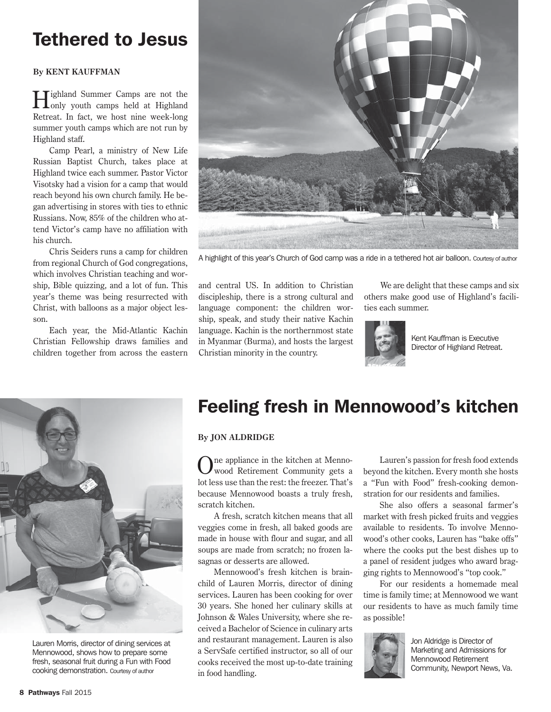# Tethered to Jesus

#### **By KENT KAUFFMAN**

Highland Summer Camps are not the only youth camps held at Highland Retreat. In fact, we host nine week-long summer youth camps which are not run by Highland staff.

Camp Pearl, a ministry of New Life Russian Baptist Church, takes place at Highland twice each summer. Pastor Victor Visotsky had a vision for a camp that would reach beyond his own church family. He began advertising in stores with ties to ethnic Russians. Now, 85% of the children who attend Victor's camp have no affiliation with his church.

Chris Seiders runs a camp for children from regional Church of God congregations, which involves Christian teaching and worship, Bible quizzing, and a lot of fun. This year's theme was being resurrected with Christ, with balloons as a major object lesson.

Each year, the Mid-Atlantic Kachin Christian Fellowship draws families and children together from across the eastern



A highlight of this year's Church of God camp was a ride in a tethered hot air balloon. Courtesy of author

and central US. In addition to Christian discipleship, there is a strong cultural and language component: the children worship, speak, and study their native Kachin language. Kachin is the northernmost state in Myanmar (Burma), and hosts the largest Christian minority in the country.

We are delight that these camps and six others make good use of Highland's facilities each summer.



Kent Kauffman is Executive Director of Highland Retreat.



Lauren Morris, director of dining services at Mennowood, shows how to prepare some fresh, seasonal fruit during a Fun with Food cooking demonstration. Courtesy of author

### Feeling fresh in Mennowood's kitchen

#### **By JON ALDRIDGE**

One appliance in the kitchen at Menno-wood Retirement Community gets a lot less use than the rest: the freezer. That's because Mennowood boasts a truly fresh, scratch kitchen.

A fresh, scratch kitchen means that all veggies come in fresh, all baked goods are made in house with flour and sugar, and all soups are made from scratch; no frozen lasagnas or desserts are allowed.

Mennowood's fresh kitchen is brainchild of Lauren Morris, director of dining services. Lauren has been cooking for over 30 years. She honed her culinary skills at Johnson & Wales University, where she received a Bachelor of Science in culinary arts and restaurant management. Lauren is also a ServSafe certified instructor, so all of our cooks received the most up-to-date training in food handling.

Lauren's passion for fresh food extends beyond the kitchen. Every month she hosts a "Fun with Food" fresh-cooking demonstration for our residents and families.

She also offers a seasonal farmer's market with fresh picked fruits and veggies available to residents. To involve Mennowood's other cooks, Lauren has "bake offs" where the cooks put the best dishes up to a panel of resident judges who award bragging rights to Mennowood's "top cook."

For our residents a homemade meal time is family time; at Mennowood we want our residents to have as much family time as possible!



Jon Aldridge is Director of Marketing and Admissions for Mennowood Retirement Community, Newport News, Va.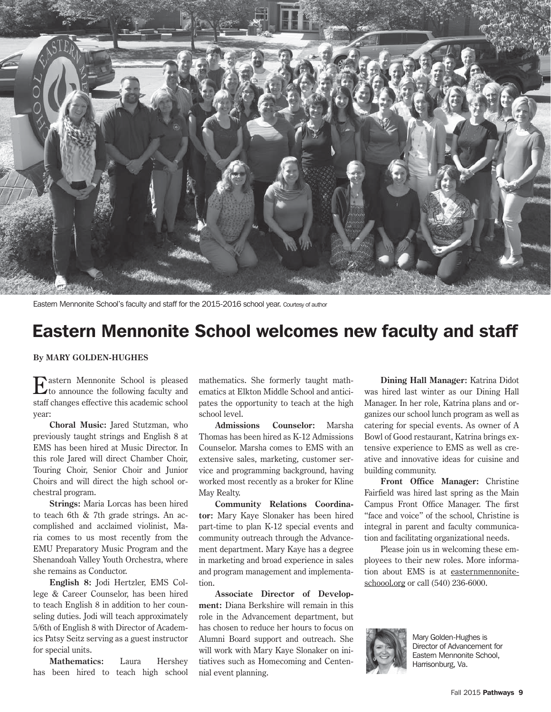

Eastern Mennonite School's faculty and staff for the 2015-2016 school year. Courtesy of author

### Eastern Mennonite School welcomes new faculty and staff

**By MARY GOLDEN-HUGHES**

Eastern Mennonite School is pleased to announce the following faculty and staff changes effective this academic school year:

**Choral Music:** Jared Stutzman, who previously taught strings and English 8 at EMS has been hired at Music Director. In this role Jared will direct Chamber Choir, Touring Choir, Senior Choir and Junior Choirs and will direct the high school orchestral program.

**Strings:** Maria Lorcas has been hired to teach 6th & 7th grade strings. An accomplished and acclaimed violinist, Maria comes to us most recently from the EMU Preparatory Music Program and the Shenandoah Valley Youth Orchestra, where she remains as Conductor.

**English 8:** Jodi Hertzler, EMS College & Career Counselor, has been hired to teach English 8 in addition to her counseling duties. Jodi will teach approximately 5/6th of English 8 with Director of Academics Patsy Seitz serving as a guest instructor for special units.

**Mathematics:** Laura Hershey has been hired to teach high school mathematics. She formerly taught mathematics at Elkton Middle School and anticipates the opportunity to teach at the high school level.

**Admissions Counselor:** Marsha Thomas has been hired as K-12 Admissions Counselor. Marsha comes to EMS with an extensive sales, marketing, customer service and programming background, having worked most recently as a broker for Kline May Realty.

**Community Relations Coordinator:** Mary Kaye Slonaker has been hired part-time to plan K-12 special events and community outreach through the Advancement department. Mary Kaye has a degree in marketing and broad experience in sales and program management and implementation.

**Associate Director of Development:** Diana Berkshire will remain in this role in the Advancement department, but has chosen to reduce her hours to focus on Alumni Board support and outreach. She will work with Mary Kaye Slonaker on initiatives such as Homecoming and Centennial event planning.

**Dining Hall Manager:** Katrina Didot was hired last winter as our Dining Hall Manager. In her role, Katrina plans and organizes our school lunch program as well as catering for special events. As owner of A Bowl of Good restaurant, Katrina brings extensive experience to EMS as well as creative and innovative ideas for cuisine and building community.

**Front Office Manager:** Christine Fairfield was hired last spring as the Main Campus Front Office Manager. The first "face and voice" of the school, Christine is integral in parent and faculty communication and facilitating organizational needs.

Please join us in welcoming these employees to their new roles. More information about EMS is at easternmennoniteschoool.org or call (540) 236-6000.



Mary Golden-Hughes is Director of Advancement for Eastern Mennonite School, Harrisonburg, Va.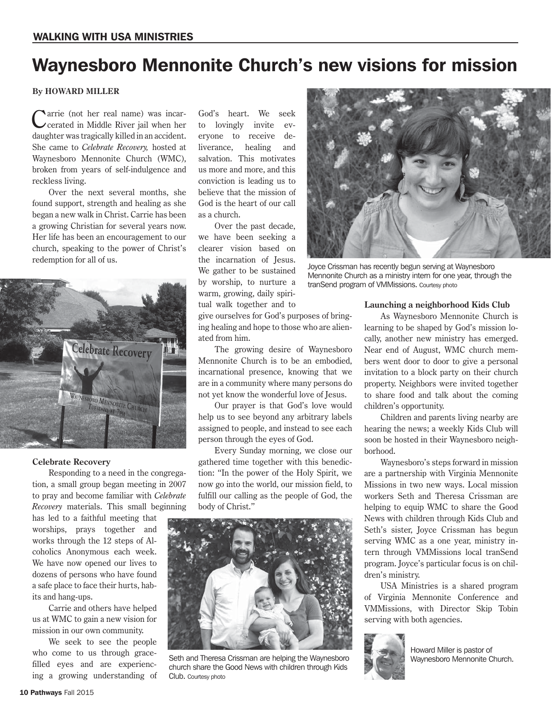### Waynesboro Mennonite Church's new visions for mission

#### **By HOWARD MILLER**

Carrie (not her real name) was incar-cerated in Middle River jail when her daughter was tragically killed in an accident. She came to *Celebrate Recovery,* hosted at Waynesboro Mennonite Church (WMC), broken from years of self-indulgence and reckless living.

Over the next several months, she found support, strength and healing as she began a new walk in Christ. Carrie has been a growing Christian for several years now. Her life has been an encouragement to our church, speaking to the power of Christ's redemption for all of us.



#### **Celebrate Recovery**

Responding to a need in the congregation, a small group began meeting in 2007 to pray and become familiar with *Celebrate Recovery* materials. This small beginning

has led to a faithful meeting that worships, prays together and works through the 12 steps of Alcoholics Anonymous each week. We have now opened our lives to dozens of persons who have found a safe place to face their hurts, habits and hang-ups.

Carrie and others have helped us at WMC to gain a new vision for mission in our own community.

We seek to see the people who come to us through gracefilled eyes and are experiencing a growing understanding of

God's heart. We seek to lovingly invite everyone to receive deliverance, healing and salvation. This motivates us more and more, and this conviction is leading us to believe that the mission of God is the heart of our call as a church.

Over the past decade, we have been seeking a clearer vision based on the incarnation of Jesus. We gather to be sustained by worship, to nurture a warm, growing, daily spiritual walk together and to

give ourselves for God's purposes of bringing healing and hope to those who are alienated from him.

The growing desire of Waynesboro Mennonite Church is to be an embodied, incarnational presence, knowing that we are in a community where many persons do not yet know the wonderful love of Jesus.

Our prayer is that God's love would help us to see beyond any arbitrary labels assigned to people, and instead to see each person through the eyes of God.

Every Sunday morning, we close our gathered time together with this benediction: "In the power of the Holy Spirit, we now go into the world, our mission field, to fulfill our calling as the people of God, the body of Christ."



Seth and Theresa Crissman are helping the Waynesboro church share the Good News with children through Kids Club. Courtesy photo



Joyce Crissman has recently begun serving at Waynesboro Mennonite Church as a ministry intern for one year, through the tranSend program of VMMissions. Courtesy photo

#### **Launching a neighborhood Kids Club**

As Waynesboro Mennonite Church is learning to be shaped by God's mission locally, another new ministry has emerged. Near end of August, WMC church members went door to door to give a personal invitation to a block party on their church property. Neighbors were invited together to share food and talk about the coming children's opportunity.

Children and parents living nearby are hearing the news; a weekly Kids Club will soon be hosted in their Waynesboro neighborhood.

Waynesboro's steps forward in mission are a partnership with Virginia Mennonite Missions in two new ways. Local mission workers Seth and Theresa Crissman are helping to equip WMC to share the Good News with children through Kids Club and Seth's sister, Joyce Crissman has begun serving WMC as a one year, ministry intern through VMMissions local tranSend program. Joyce's particular focus is on children's ministry.

USA Ministries is a shared program of Virginia Mennonite Conference and VMMissions, with Director Skip Tobin serving with both agencies.



Howard Miller is pastor of Waynesboro Mennonite Church.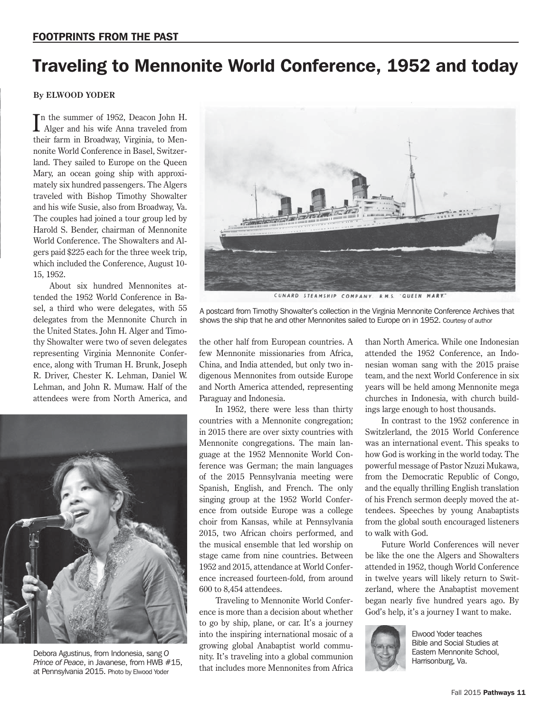# Traveling to Mennonite World Conference, 1952 and today

#### **By ELWOOD YODER**

In the summer of 1952, Deacon John H.<br>Alger and his wife Anna traveled from Alger and his wife Anna traveled from their farm in Broadway, Virginia, to Mennonite World Conference in Basel, Switzerland. They sailed to Europe on the Queen Mary, an ocean going ship with approximately six hundred passengers. The Algers traveled with Bishop Timothy Showalter and his wife Susie, also from Broadway, Va. The couples had joined a tour group led by Harold S. Bender, chairman of Mennonite World Conference. The Showalters and Algers paid \$225 each for the three week trip, which included the Conference, August 10- 15, 1952.

About six hundred Mennonites attended the 1952 World Conference in Basel, a third who were delegates, with 55 delegates from the Mennonite Church in the United States. John H. Alger and Timothy Showalter were two of seven delegates representing Virginia Mennonite Conference, along with Truman H. Brunk, Joseph R. Driver, Chester K. Lehman, Daniel W. Lehman, and John R. Mumaw. Half of the attendees were from North America, and



Debora Agustinus, from Indonesia, sang *O Prince of Peace*, in Javanese, from HWB #15, at Pennsylvania 2015. Photo by Elwood Yoder



CUNARD STEAMSHIP COMPANY. R. M. S. "QUEEN MARY."

A postcard from Timothy Showalter's collection in the Virginia Mennonite Conference Archives that shows the ship that he and other Mennonites sailed to Europe on in 1952. Courtesy of author

the other half from European countries. A few Mennonite missionaries from Africa, China, and India attended, but only two indigenous Mennonites from outside Europe and North America attended, representing Paraguay and Indonesia.

In 1952, there were less than thirty countries with a Mennonite congregation; in 2015 there are over sixty countries with Mennonite congregations. The main language at the 1952 Mennonite World Conference was German; the main languages of the 2015 Pennsylvania meeting were Spanish, English, and French. The only singing group at the 1952 World Conference from outside Europe was a college choir from Kansas, while at Pennsylvania 2015, two African choirs performed, and the musical ensemble that led worship on stage came from nine countries. Between 1952 and 2015, attendance at World Conference increased fourteen-fold, from around 600 to 8,454 attendees.

Traveling to Mennonite World Conference is more than a decision about whether to go by ship, plane, or car. It's a journey into the inspiring international mosaic of a growing global Anabaptist world community. It's traveling into a global communion that includes more Mennonites from Africa than North America. While one Indonesian attended the 1952 Conference, an Indonesian woman sang with the 2015 praise team, and the next World Conference in six years will be held among Mennonite mega churches in Indonesia, with church buildings large enough to host thousands.

In contrast to the 1952 conference in Switzlerland, the 2015 World Conference was an international event. This speaks to how God is working in the world today. The powerful message of Pastor Nzuzi Mukawa, from the Democratic Republic of Congo, and the equally thrilling English translation of his French sermon deeply moved the attendees. Speeches by young Anabaptists from the global south encouraged listeners to walk with God.

Future World Conferences will never be like the one the Algers and Showalters attended in 1952, though World Conference in twelve years will likely return to Switzerland, where the Anabaptist movement began nearly five hundred years ago. By God's help, it's a journey I want to make.



Elwood Yoder teaches Bible and Social Studies at Eastern Mennonite School, Harrisonburg, Va.